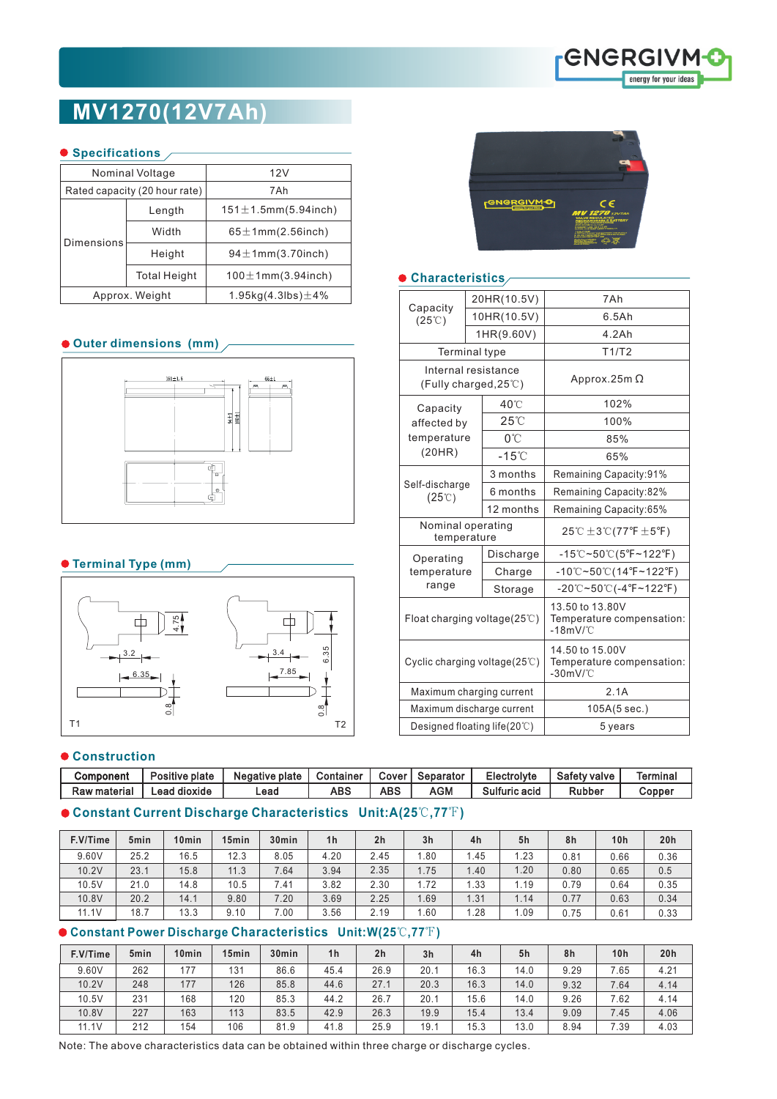

# **MV1270(12V7Ah)**

#### **Specifications**

|            | Nominal Voltage               | 12V                            |  |  |  |  |  |  |  |
|------------|-------------------------------|--------------------------------|--|--|--|--|--|--|--|
|            | Rated capacity (20 hour rate) | 7Ah                            |  |  |  |  |  |  |  |
| Dimensions | Length                        | $151 \pm 1.5$ mm $(5.94$ inch) |  |  |  |  |  |  |  |
|            | Width                         | $65 \pm 1$ mm $(2.56$ inch)    |  |  |  |  |  |  |  |
|            | Height                        | $94 \pm 1$ mm $(3.70$ inch)    |  |  |  |  |  |  |  |
|            | <b>Total Height</b>           | $100 \pm 1$ mm $(3.94$ inch)   |  |  |  |  |  |  |  |
|            | Approx. Weight                | 1.95kg $(4.3$ lbs $)\pm 4\%$   |  |  |  |  |  |  |  |

# **Outer dimensions (mm)**



# **Terminal Type (mm)**



#### **Construction**

| Component    | Positive plate | Negative plate | Container | Cover | Separator | Electrolyte   | <b>Safety valve</b> | Termina |
|--------------|----------------|----------------|-----------|-------|-----------|---------------|---------------------|---------|
| Raw material | ∟ead dioxide   | Lead           | ABS       | ABS   | AGM       | Sulfuric acid | Rubber              | Copper  |

# **Constant Current Discharge Characteristics Unit:A(25**℃**,77**℉**)**

| F.V/Time | 5 <sub>min</sub> | 10 <sub>min</sub> | 15 <sub>min</sub> | 30 <sub>min</sub> | 1 <sub>h</sub> | 2 <sub>h</sub> | 3 <sub>h</sub> | 4h   | 5h   | 8h   | 10h  | 20h  |
|----------|------------------|-------------------|-------------------|-------------------|----------------|----------------|----------------|------|------|------|------|------|
| 9.60V    | 25.2             | 16.5              | 12.3              | 8.05              | 4.20           | 2.45           | .80            | l.45 | .23  | 0.81 | 0.66 | 0.36 |
| 10.2V    | 23.1             | 15.8              | 11.3              | 7.64              | 3.94           | 2.35           | 1.75           | .40  | 1.20 | 0.80 | 0.65 | 0.5  |
| 10.5V    | 21.0             | 14.8              | 10.5              | 7.41              | 3.82           | 2.30           | 1.72           | 1.33 | 1.19 | 0.79 | 0.64 | 0.35 |
| 10.8V    | 20.2             | 14.1              | 9.80              | 7.20              | 3.69           | 2.25           | .69            | 1.31 | 1.14 | 0.77 | 0.63 | 0.34 |
| 11.1V    | 18.7             | 13.3              | 9.10              | 7.00              | 3.56           | 2.19           | 1.60           | .28  | .09  | 0.75 | 0.61 | 0.33 |

# **Constant Power Discharge Characteristics Unit:W(25**℃**,77**℉**)**

| F.V/Time | 5 <sub>min</sub> | 10 <sub>min</sub> | 15 <sub>min</sub> | 30 <sub>min</sub> | 1 <sub>h</sub> | 2 <sub>h</sub> | 3 <sub>h</sub> | 4h   | 5h   | 8h   | 10 <sub>h</sub> | 20h  |
|----------|------------------|-------------------|-------------------|-------------------|----------------|----------------|----------------|------|------|------|-----------------|------|
| 9.60V    | 262              | 177               | 131               | 86.6              | 45.4           | 26.9           | 20.1           | 16.3 | 14.0 | 9.29 | 7.65            | 4.21 |
| 10.2V    | 248              | 177               | 126               | 85.8              | 44.6           | 27.1           | 20.3           | 16.3 | 14.0 | 9.32 | 7.64            | 4.14 |
| 10.5V    | 231              | 168               | 120               | 85.3              | 44.2           | 26.7           | 20.1           | 15.6 | 14.0 | 9.26 | 7.62            | 4.14 |
| 10.8V    | 227              | 163               | 113               | 83.5              | 42.9           | 26.3           | 19.9           | 15.4 | 13.4 | 9.09 | 7.45            | 4.06 |
| 11.1V    | 212              | 154               | 106               | 81.9              | 41.8           | 25.9           | 19.7           | 15.3 | 13.0 | 8.94 | 7.39            | 4.03 |

Note: The above characteristics data can be obtained within three charge or discharge cycles.



# **Characteristics**

| Capacity<br>$(25^{\circ}\text{C})$                     |  | 20HR(10.5V)     | 7Ah                                                                             |  |  |  |  |  |
|--------------------------------------------------------|--|-----------------|---------------------------------------------------------------------------------|--|--|--|--|--|
|                                                        |  | 10HR(10.5V)     | 6.5Ah                                                                           |  |  |  |  |  |
|                                                        |  | 1HR(9.60V)      | 4.2Ah                                                                           |  |  |  |  |  |
| Terminal type                                          |  |                 | T1/T2                                                                           |  |  |  |  |  |
| Internal resistance<br>(Fully charged, $25^{\circ}$ C) |  |                 | Approx.25m $\Omega$                                                             |  |  |  |  |  |
| Capacity                                               |  | 40°C            | 102%                                                                            |  |  |  |  |  |
| affected by                                            |  | $25^{\circ}$ C  | 100%                                                                            |  |  |  |  |  |
| temperature                                            |  | $0^{\circ}$ C   | 85%                                                                             |  |  |  |  |  |
| (20HR)                                                 |  | $-15^{\circ}$ C | 65%                                                                             |  |  |  |  |  |
| Self-discharge<br>$(25^{\circ}\text{C})$               |  | 3 months        | Remaining Capacity:91%                                                          |  |  |  |  |  |
|                                                        |  | 6 months        | Remaining Capacity:82%                                                          |  |  |  |  |  |
|                                                        |  | 12 months       | Remaining Capacity:65%                                                          |  |  |  |  |  |
| Nominal operating<br>temperature                       |  |                 | $25^{\circ}$ C $\pm 3^{\circ}$ C (77°F $\pm 5^{\circ}$ F)                       |  |  |  |  |  |
| Operating                                              |  | Discharge       | $-15^{\circ}\text{C}-50^{\circ}\text{C}(5^{\circ}\text{F}-122^{\circ}\text{F})$ |  |  |  |  |  |
| temperature                                            |  | Charge          | $-10^{\circ}$ C~50 $^{\circ}$ C(14°F~122°F)                                     |  |  |  |  |  |
| range                                                  |  | Storage         | $-20^{\circ}$ C~50 $^{\circ}$ C(-4 $^{\circ}$ F~122 $^{\circ}$ F)               |  |  |  |  |  |
| Float charging voltage( $25^{\circ}$ C)                |  |                 | 13.50 to 13.80V<br>Temperature compensation:<br>$-18mV$ /°C                     |  |  |  |  |  |
| Cyclic charging voltage $(25^{\circ}\text{C})$         |  |                 | 14.50 to 15.00V<br>Temperature compensation:<br>$-30$ m $V$ /°C                 |  |  |  |  |  |
| Maximum charging current                               |  |                 | 2.1A                                                                            |  |  |  |  |  |
| Maximum discharge current                              |  |                 | 105A(5 sec.)                                                                    |  |  |  |  |  |
| Designed floating life(20℃)                            |  |                 | 5 years                                                                         |  |  |  |  |  |